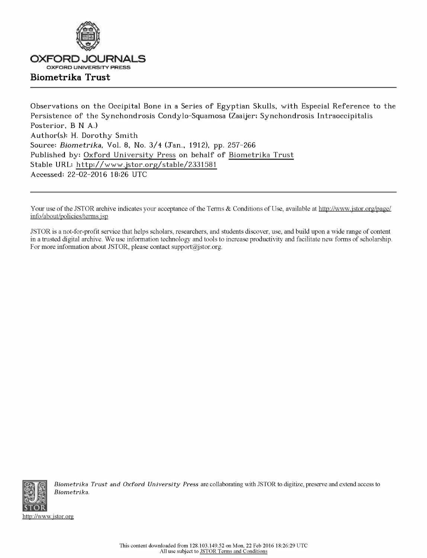

Observations on the Occipital Bone in a Series of Egyptian Skulls, with Especial Reference to the **Persistence of the Synchondrosis Condylo-Squamosa (Zaaijer; Synchondrosis Intraoccipitalis Posterior, B N A.) Author(s): H. Dorothy Smith Source:** *Biometrika,* **Vol. 8, No. 3/ 4 (Jan., 1912), pp. 257-266 Published by: [Oxford Universit](http://www.jstor.org/publisher/oup) y Press on behalf of [Biometrika Trust](http://www.jstor.org/publisher/bio) Stable URL: [http://www.jstor.org/stable/233158](http://www.jstor.org/stable/2331581) 1 Accessed: 22-02-2016 18:26 UTC** 

Your use of the JSTOR archive indicates your acceptance of the Terms & Conditions of Use, available at [http://www.jstor.org/page/](http://www.jstor.org/page/info/about/policies/terms.jsp) [info/about/policies/terms.jsp](http://www.jstor.org/page/info/about/policies/terms.jsp) 

JSTOR is a not-for-profit service that helps scholars, researchers, and students discover, use, and build upon a wide range of content in a trusted digital archive. We use information technology and tools to increase productivity and facilitate new forms of scholarship. For more information about JSTOR, please contact [support@jstor.org.](mailto:support@jstor.org)



*Biometrika Trust and Oxford University Press* are collaborating with JSTOR to digitize, preserve and extend access to *Biometrika.* 

<http://www.jstor.org>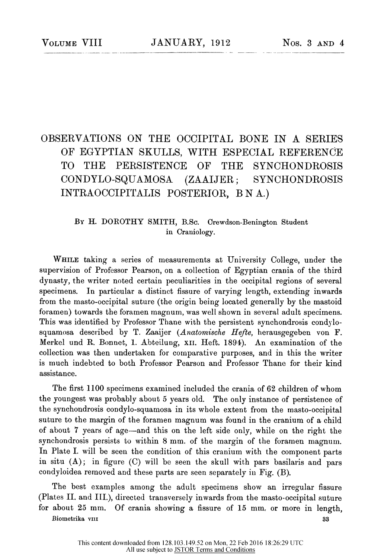# OBSERVATIONS ON THE OCCIPITAL BONE IN A SERIES OF EGYPTIAN SKULLS, WITH ESPECIAL REFERENCE TO THE PERSISTENCE OF THE SYNCHONDROSIS CONDYLO-SQUAMOSA (ZAAIJER; SYNCHONDROSIS INTRAOCCIPITALIS POSTERIOR, B N A.)

# **By** H. DOROTHY SMITH, B.Sc. Orewdson-Benington Student in Craniology.

**Whil <sup>e</sup>** taking a series of measurements at University College, under the supervision of Professor Pearson, on a collection of Egyptian crania of the third dynasty, the writer noted certain peculiarities in the occipital regions of several specimens. In particular a distinct fissure of varying length, extending inwards from the masto-occipital suture (the origin being located generally by the mastoid foramen) towards the foramen magnum, was well shown in several adult specimens. This was identified by Professor Thane with the persistent synchondrosis condylosquamosa described by T. Zaaijer *(Anatomische Hefte,* herausgegeben von **F.**  Merkel und R. Bonnet, 1. Abteilung, XII. Heft. 1894). An examination of the collection was then undertaken for comparative purposes, and in this the writer is much indebted to both Professor Pearson and Professor Thane for their kind assistance.

The first 1100 specimens examined included the crania of 62 children of whom the youngest was probably about 5 years old. The only instance of persistence of the synchondrosis condylo-squamosa in its whole extent from the masto-occipital suture to the margin of the foramen magnum was found in the cranium of a child of about 7 years of age—and this on the left side only, while on the right the synchondrosis persists to within 8 mm. of the margin of the foramen magnum. In Plate I. will be seen the condition of this cranium with the component parts in situ (A); in figure (C) will be seen the skull with pars basilaris and pars condyloidea removed and these parts are seen separately in Fig. (B).

The best examples among the adult specimens show an irregular fissure (Plates II. and III.), directed transversely inwards from the masto-occipital suture for about 25 mm. Of crania showing a fissure of 15 mm, or more in length,

**Biometrika** viii 33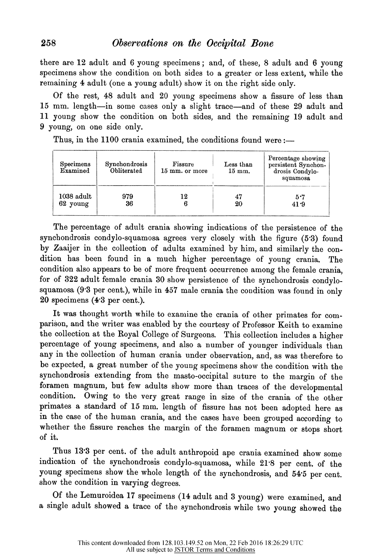there are 12 adult and 6 young specimens; and, of these, 8 adult and 6 young specimens show the condition on both sides to a greater or less extent, while the remaining 4 adult (one a young adult) show it on the right side only.

Of the rest, 48 adult and 20 young specimens show a fissure of less than 15 mm. length—in some cases only a slight trace—and of these 29 adult and 11 young show the condition on both sides, and the remaining 19 adult and 9 young, on one side only.

Thus, in the 1100 crania examined, the conditions found were :-

| Specimens<br>Examined | Synchondrosis<br>Obliterated | Fissure<br>15 mm. or more | Less than<br>$15 \text{ mm}$ . | Percentage showing<br>persistent Synchon-<br>drosis Condylo-<br>squamosa |
|-----------------------|------------------------------|---------------------------|--------------------------------|--------------------------------------------------------------------------|
| $1038$ adult          | 979                          | 12                        | 47                             | 5.7                                                                      |
| 62 young              | 36                           |                           | 20                             | 41.9                                                                     |

The percentage of adult crania showing indications of the persistence of the synchondrosis condylo-squamosa agrees very closely with the figure (5\*3) found by Zaaijer in the collection of adults examined by him, and similarly the condition has been found in a much higher percentage of young crania. The condition also appears to be of more frequent occurrence among the female crania, for of 322 adult female crania 30 show persistence of the synchondrosis condylosquamosa (9\*3 per cent.), while in 457 male crania the condition was found in only 20 specimens (4\*3 per cent.).

It was thought worth while to examine the crania of other primates for comparison, and the writer was enabled by the courtesy of Professor Keith to examine the collection at the Royal College of Surgeons. This collection includes a higher percentage of young specimens, and also a number of younger individuals than any in the collection of human crania under observation, and, as was therefore to be expected, a great number of the young specimens show the condition with the synchondrosis extending from the masto-occipital suture to the margin of the foramen magnum, but few adults show more than traces of the developmental condition. Owing to the very great range in size of the crania of the other primates a standard of 15 mm. length of fissure has not been adopted here as in the case of the human crania, and the cases have been grouped according to whether the fissure reaches the margin of the foramen magnum or stops short of it.

Thus 13<sup>.</sup>3 per cent, of the adult anthropoid ape crania examined show some indication of the synchondrosis condylo-squamosa, while 21\*8 per cent, of the young specimens show the whole length of the synchondrosis, and 54'5 per cent, show the condition in varying degrees.

Of the Lemuroidea 17 specimens (14 adult and 3 young) were examined, and a single adult showed a trace of the synchondrosis while two young showed the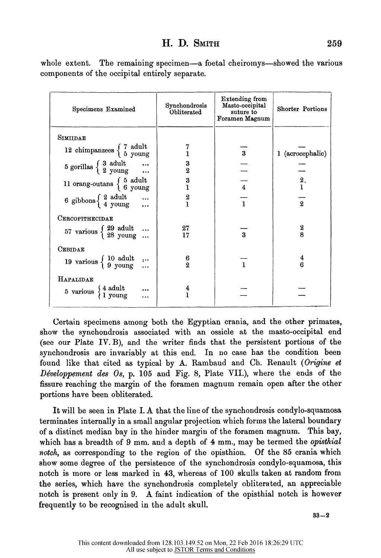# **EL D, Smith 259**

| whole extent. The remaining specimen—a foetal cheiromys—showed the various |
|----------------------------------------------------------------------------|
| components of the occipital entirely separate.                             |

| <b>Specimens Examined</b>                                                                         | Synchondrosis<br>Obliterated | Extending from<br>Masto-occipital<br>suture to<br>Foramen Magnum | Shorter Portions |
|---------------------------------------------------------------------------------------------------|------------------------------|------------------------------------------------------------------|------------------|
| SIMIIDAE                                                                                          |                              |                                                                  |                  |
| 12 chimpanzees $\begin{cases} 7 \text{ adult} \\ 5 \text{ young} \end{cases}$                     |                              | $\bf{3}$                                                         | 1 (acrocephalic) |
| $5$ gorillas $\begin{cases} 3 & \text{adult} \\ 2 & \text{young} \end{cases}$                     | 3<br>$\overline{\mathbf{2}}$ |                                                                  |                  |
| 11 orang-outans $\left\{ \begin{array}{c} 5 \text{ adult} \\ 6 \text{ young} \end{array} \right.$ | 3                            | $\overline{\mathbf{4}}$                                          | $\frac{2}{1}$ .  |
| 6 gibbons $\begin{cases} 2 \text{ adult} \\ 4 \text{ young} \end{cases}$                          | 2<br>Ĭ.                      | $\mathbf{1}$                                                     | $\overline{2}$   |
| CERCOPITHECIDAE                                                                                   |                              |                                                                  |                  |
| 57 various $\begin{cases} 29 \text{ adult} \dots \\ 28 \text{ young} \dots \end{cases}$           | 27<br>17                     | $\overline{a}$                                                   | $\frac{2}{8}$    |
| CEBIDAE                                                                                           |                              |                                                                  |                  |
| 19 various $\begin{cases} 10 \text{ adult} \\ 9 \text{ young} \end{cases}$                        | 6<br>$\overline{2}$          | $\mathbf{1}$                                                     | 4<br>6           |
| HAPALIDAE                                                                                         |                              |                                                                  |                  |
| 5 various $\begin{cases} 4 \text{ adult} \\ 1 \text{ young} \end{cases}$                          | 4<br>1                       |                                                                  |                  |

Certain specimens among both the Egyptian crania, and the other primates, show the synchondrosis associated with an ossicle at the masto-occipital end (see our Plate IV. B), and the writer finds that the persistent portions of the synchondrosis are invariably at this end. In no case has the condition been found like that cited as typical by A. Rambaud and Ch. Renault (Origine et *Développement des Os,* p. 105 and Fig. 8, Plate VII.), where the ends of the fissure reaching the margin of the foramen magnum remain open after the other portions have been obliterated.

It will be seen in Plate I. A that the line of the synchondrosis condylo-squamosa terminates internally in a small angular projection which forms the lateral boundary of a distinct median bay in the hinder margin of the foramen magnum. This bay, which has a breadth of 9 mm. and a depth of 4 mm., may be termed the *opisthial notch,* as corresponding to the region of the opisthion. Of the 85 crania which show some degree of the persistence of the synchondrosis condylo-squamosa, this notch is more or less marked in 43, whereas of 100 skulls taken at random from the series, which have the synchondrosis completely obliterated, an appreciable notch is present only in 9. A faint indication of the opisthial notch is however frequently to be recognised in the adult skull.

**33- 2**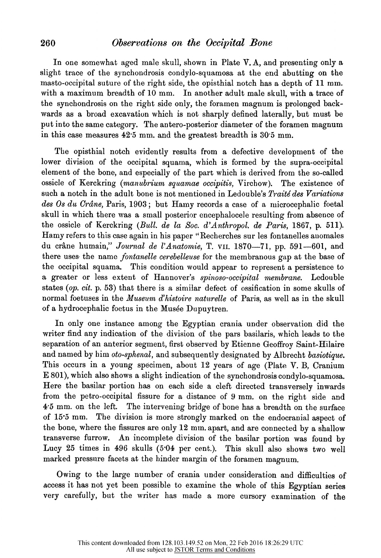# **260** *Observations on the Occipital Bone*

In one somewhat aged male skull, shown in Plate V. A, and presenting only a slight trace of the synchondrosis condylo-squamosa at the end abutting on the masto-occipital suture of the right side, the opisthial notch has a depth of 11 mm. with a maximum breadth of 10 mm. In another adult male skull, with a trace of the synchondrosis on the right side only, the foramen magnum is prolonged backwards as a broad excavation which is not sharply defined laterally, but must be put into the same category. The antero-posterior diameter of the foramen magnum in this case measures 42\*5 mm. and the greatest breadth is 30 5 mm.

The opisthial notch evidently results from a defective development of the lower division of the occipital squama, which is formed by the supra-occipital element of the bone, and especially of the part which is derived from the so-called ossicle of Kerckring *{manubrium squamae occipitis,* Virchow). The existence of such a notch in the adult bone is not mentioned in Ledouble's *Traite des Variations des Os du Crane,* Paris, 1903 ; but Hamy records a case of a microcephalic foetal skull in which there was a small posterior encephalocele resulting from absence of the ossicle of Kerckring *{Bull, de la Soc. d'Anthropol. de Paris,* 1867, p. 511). Hamy refers to this case again in his paper "Recherches sur les fontanelles auomales du crâne humain," Journal de l'Anatomie, T. vII. 1870-71, pp. 591-601, and there uses- the name *fontanelle cerebelleuse* for the membranous gap at the base of the occipital squama. This condition would appear to represent a persistence to a greater or less extent of Hannover's *spinoso-occipital membrane.* Ledouble states (op. cit. p. 53) that there is a similar defect of ossification in some skulls of normal foetuses in the *Museum d<sup>f</sup> histoire naturelle* of Paris, as well as in the skull of a hydrocephalic foetus in the Musée Dupuytren.

In only one instance among the Egyptian crania under observation did the writer find any indication of the division of the pars basilaris, which leads to the separation of an anterior segment, first observed by Etienne Geoffroy Saint-Hilaire and named by him *oto-sphenal,* and subsequently designated by Albrecht *basiotique.*  This occurs in a young specimen, about 12 years of age (Plate V. B, Cranium E 801), which also shows a slight indication of the synchondrosis condylo-squamosa. Here the basilar portion has on each side a cleft directed transversely inwards from the petro-occipital fissure for a distance of 9 mm. on the right side and 4\*5 mm. on the left. The intervening bridge of bone has a breadth on the surface of 15\*5 mm. The division is more strongly marked on the endocranial aspect of the bone, where the fissures are only 12 mm. apart, and are connected by a shallow transverse furrow. An incomplete division of the basilar portion was found by Lucy 25 times in 496 skulls (5°04 per cent.). This skull also shows two well marked pressure facets at the hinder margin of the foramen magnum.

Owing to the large number of crania under consideration and difficulties of access it has not yet been possible to examine the whole of this Egyptian series very carefully, but the writer has made a more cursory examination of the